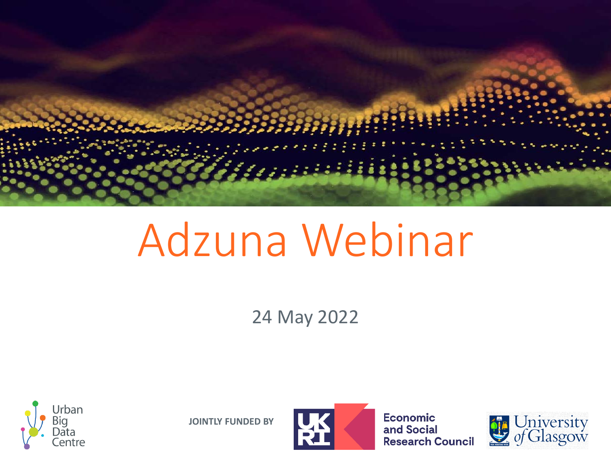

# Adzuna Webinar

24 May 2022



**JOINTLY FUNDED BY**



**Economic** and Social Research Council

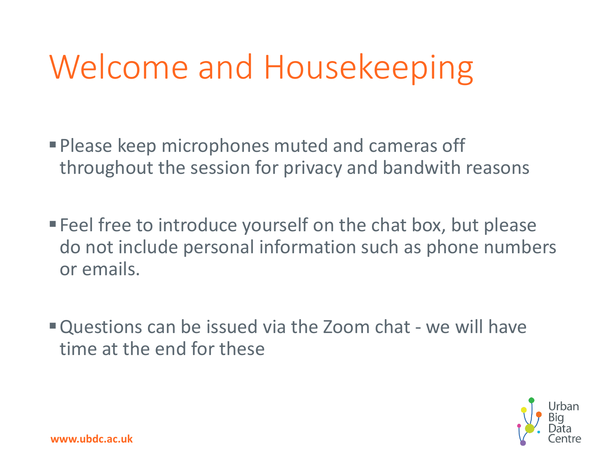## Welcome and Housekeeping

- Please keep microphones muted and cameras off throughout the session for privacy and bandwith reasons
- **Feel free to introduce yourself on the chat box, but please** do not include personal information such as phone numbers or emails.
- Questions can be issued via the Zoom chat we will have time at the end for these

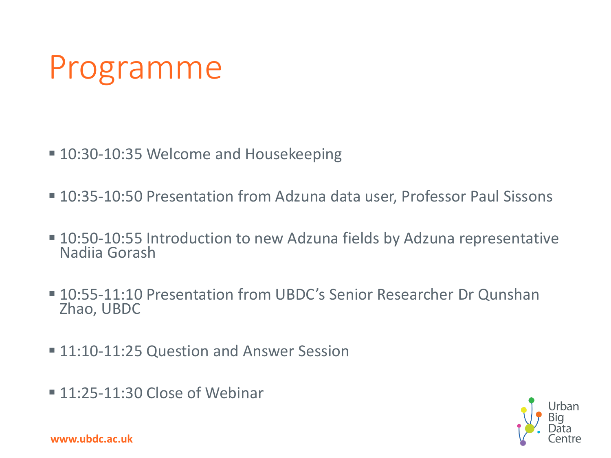## Programme

- 10:30-10:35 Welcome and Housekeeping
- 10:35-10:50 Presentation from Adzuna data user, Professor Paul Sissons
- 10:50-10:55 Introduction to new Adzuna fields by Adzuna representative Nadiia Gorash
- 10:55-11:10 Presentation from UBDC's Senior Researcher Dr Qunshan Zhao, UBDC
- 11:10-11:25 Question and Answer Session
- 11:25-11:30 Close of Webinar



**www.ubdc.ac.uk**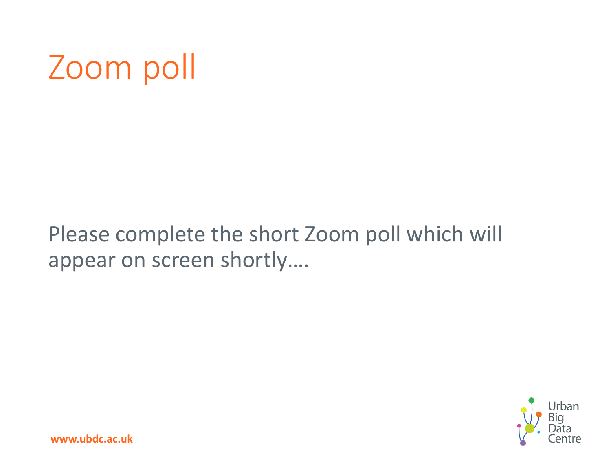## Zoom poll

### Please complete the short Zoom poll which will appear on screen shortly….

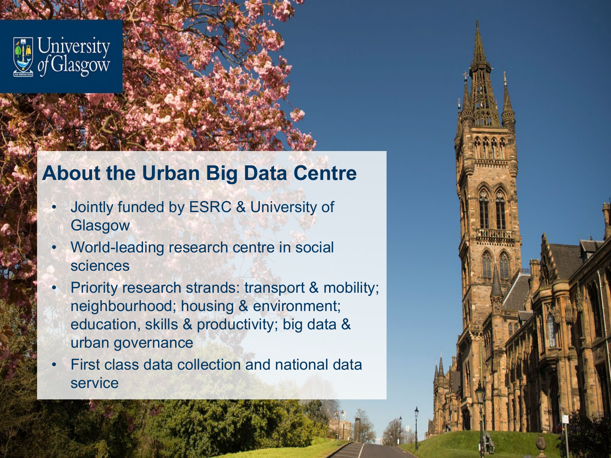

### **About the Urban Big Data Centre**

- Jointly funded by ESRC & University of **Glasgow**
- World-leading research centre in social sciences
- Priority research strands: transport & mobility; neighbourhood; housing & environment; education, skills & productivity; big data & urban governance
- First class data collection and national data service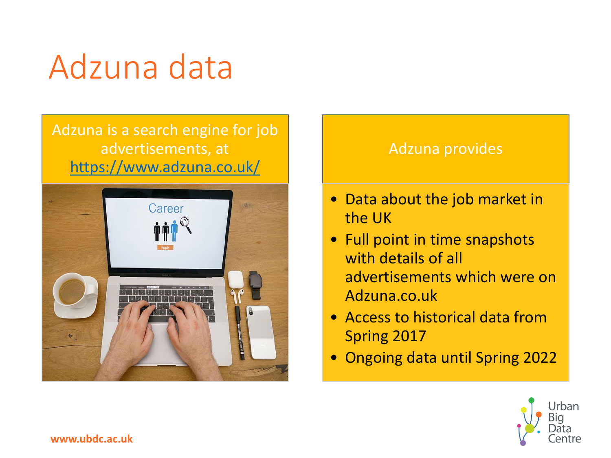## Adzuna data

#### Adzuna is a search engine for job advertisements, at <https://www.adzuna.co.uk/>



#### Adzuna provides

- Data about the job market in the UK
- Full point in time snapshots with details of all advertisements which were on Adzuna.co.uk
- Access to historical data from Spring 2017
- Ongoing data until Spring 2022

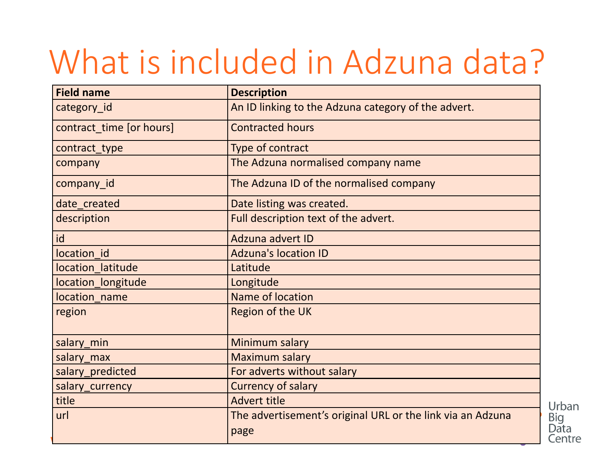## What is included in Adzuna data?

| <b>Field name</b>        | <b>Description</b>                                         |
|--------------------------|------------------------------------------------------------|
| category_id              | An ID linking to the Adzuna category of the advert.        |
| contract_time [or hours] | <b>Contracted hours</b>                                    |
| contract_type            | Type of contract                                           |
| company                  | The Adzuna normalised company name                         |
| company_id               | The Adzuna ID of the normalised company                    |
| date created             | Date listing was created.                                  |
| description              | Full description text of the advert.                       |
| id                       | <b>Adzuna advert ID</b>                                    |
| location id              | <b>Adzuna's location ID</b>                                |
| location latitude        | Latitude                                                   |
| location_longitude       | Longitude                                                  |
| location name            | Name of location                                           |
| region                   | Region of the UK                                           |
| salary min               | Minimum salary                                             |
| salary max               | <b>Maximum salary</b>                                      |
| salary_predicted         | For adverts without salary                                 |
| salary_currency          | <b>Currency of salary</b>                                  |
| title                    | <b>Advert title</b>                                        |
| url                      | The advertisement's original URL or the link via an Adzuna |
|                          | page                                                       |

Urban

Big<br>Data Centre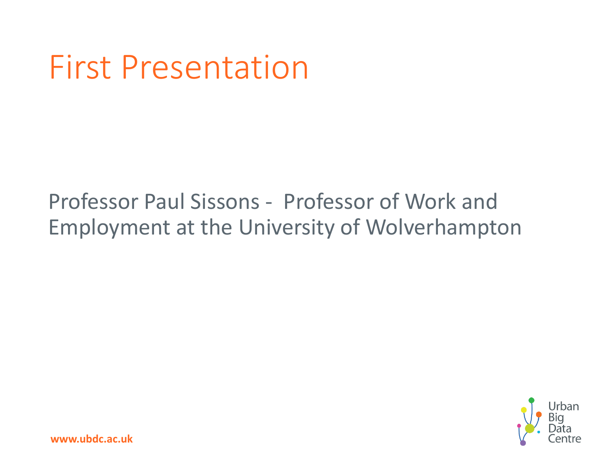### First Presentation

### Professor Paul Sissons - Professor of Work and Employment at the University of Wolverhampton

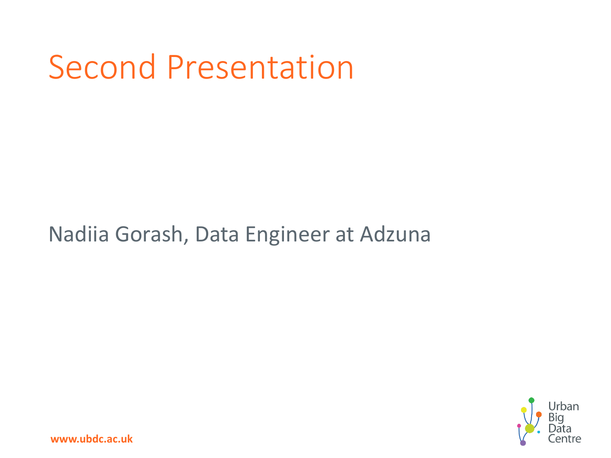## Second Presentation

### Nadiia Gorash, Data Engineer at Adzuna



**www.ubdc.ac.uk**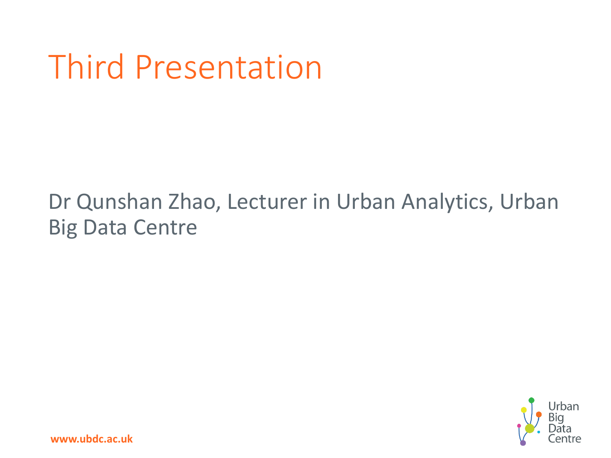## Third Presentation

### Dr Qunshan Zhao, Lecturer in Urban Analytics, Urban Big Data Centre

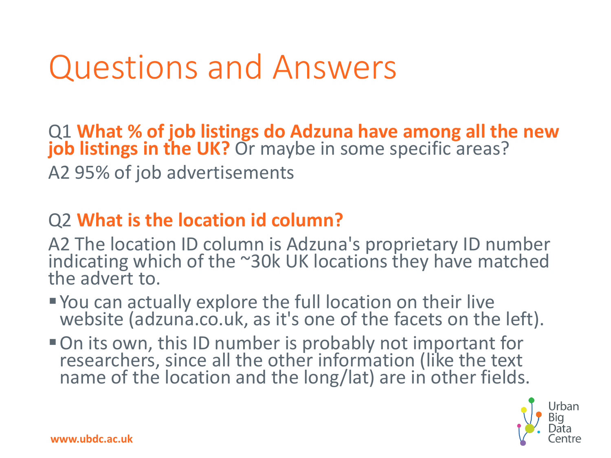### Questions and Answers

Q1 **What % of job listings do Adzuna have among all the new job listings in the UK?** Or maybe in some specific areas? A2 95% of job advertisements

#### Q2 **What is the location id column?**

A2 The location ID column is Adzuna's proprietary ID number indicating which of the ~30k UK locations they have matched the advert to.

- You can actually explore the full location on their live website (adzuna.co.uk, as it's one of the facets on the left).
- On its own, this ID number is probably not important for researchers, since all the other information (like the text name of the location and the long/lat) are in other fields.

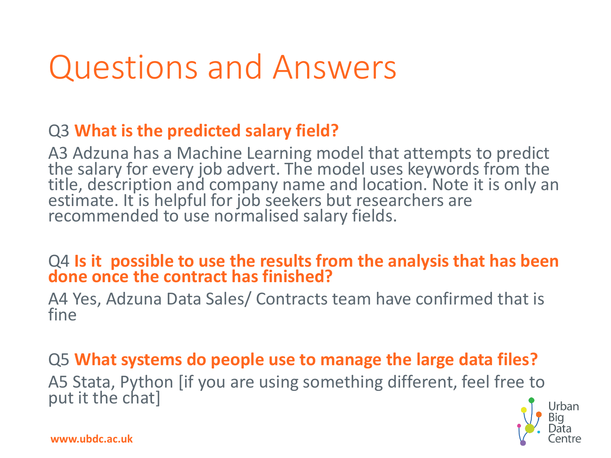### Questions and Answers

#### Q3 **What is the predicted salary field?**

A3 Adzuna has a Machine Learning model that attempts to predict<br>the salary for every job advert. The model uses keywords from the title, description and company name and location. Note it is only an estimate. It is helpful for job seekers but researchers are recommended to use normalised salary fields.

### Q4 **Is it possible to use the results from the analysis that has been done once the contract has finished?**

A4 Yes, Adzuna Data Sales/ Contracts team have confirmed that is fine

Q5 **What systems do people use to manage the large data files?** A5 Stata, Python [if you are using something different, feel free to put it the chat]



**www.ubdc.ac.uk**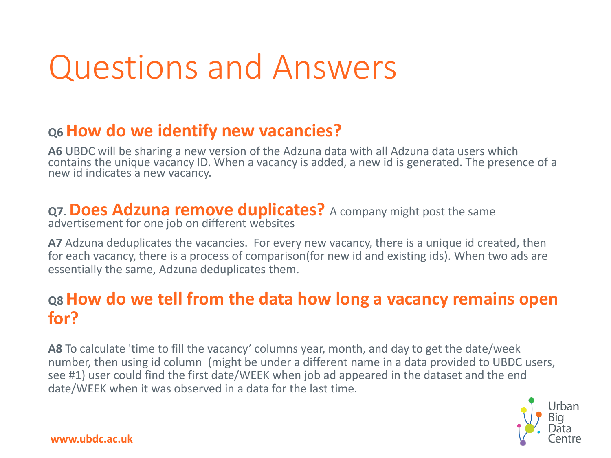### Questions and Answers

#### **Q6 How do we identify new vacancies?**

**A6** UBDC will be sharing a new version of the Adzuna data with all Adzuna data users which contains the unique vacancy ID. When a vacancy is added, a new id is generated. The presence of a new id indicates a new vacancy.

#### **Q7**. **Does Adzuna remove duplicates?** A company might post the same advertisement for one job on different websites

**A7** Adzuna deduplicates the vacancies. For every new vacancy, there is a unique id created, then for each vacancy, there is a process of comparison(for new id and existing ids). When two ads are essentially the same, Adzuna deduplicates them.

#### **Q8 How do we tell from the data how long a vacancy remains open for?**

**A8** To calculate 'time to fill the vacancy' columns year, month, and day to get the date/week number, then using id column (might be under a different name in a data provided to UBDC users, see #1) user could find the first date/WEEK when job ad appeared in the dataset and the end date/WEEK when it was observed in a data for the last time.

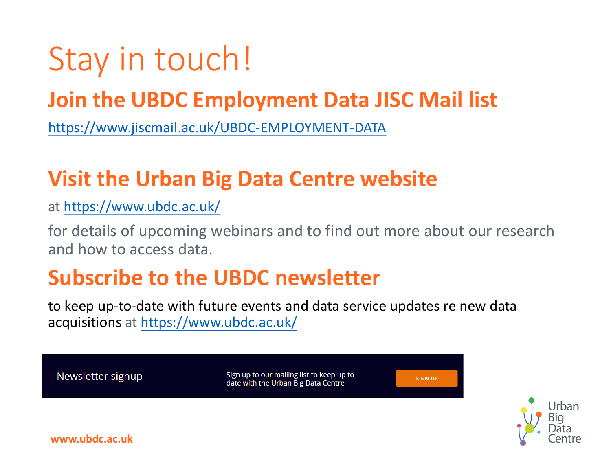## Stay in touch!

### **Join the UBDC Employment Data JISC Mail list**

<https://www.jiscmail.ac.uk/UBDC-EMPLOYMENT-DATA>

### **Visit the Urban Big Data Centre website**

at<https://www.ubdc.ac.uk/>

for details of upcoming webinars and to find out more about our research and how to access data.

Jrban

### **Subscribe to the UBDC newsletter**

to keep up-to-date with future events and data service updates re new data acquisitions at<https://www.ubdc.ac.uk/>